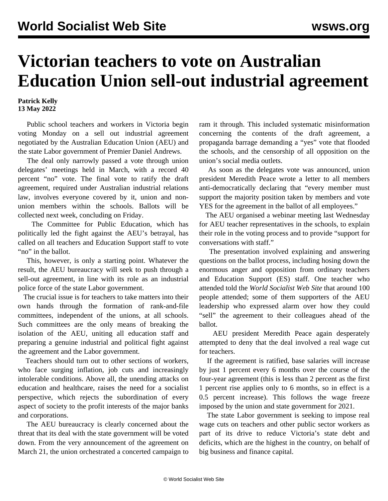## **Victorian teachers to vote on Australian Education Union sell-out industrial agreement**

**Patrick Kelly 13 May 2022**

 Public school teachers and workers in Victoria begin voting Monday on a sell out industrial agreement negotiated by the Australian Education Union (AEU) and the state Labor government of Premier Daniel Andrews.

 The deal only narrowly passed a vote through union delegates' meetings held in March, with a record 40 percent "no" vote. The final vote to ratify the draft agreement, required under Australian industrial relations law, involves everyone covered by it, union and nonunion members within the schools. Ballots will be collected next week, concluding on Friday.

 The Committee for Public Education, which has politically led the fight against the AEU's betrayal, has called on all teachers and Education Support staff to [vote](/en/articles/2022/04/25/mghi-a25.html) ["no"](/en/articles/2022/04/25/mghi-a25.html) in the ballot.

 This, however, is only a starting point. Whatever the result, the AEU bureaucracy will seek to push through a sell-out agreement, in line with its role as an industrial police force of the state Labor government.

 The crucial issue is for teachers to take matters into their own hands through the formation of rank-and-file committees, independent of the unions, at all schools. Such committees are the only means of breaking the isolation of the AEU, uniting all education staff and preparing a genuine industrial and political fight against the agreement and the Labor government.

 Teachers should turn out to other sections of workers, who face surging inflation, job cuts and increasingly intolerable conditions. Above all, the unending attacks on education and healthcare, raises the need for a socialist perspective, which rejects the subordination of every aspect of society to the profit interests of the major banks and corporations.

 The AEU bureaucracy is clearly concerned about the threat that its deal with the state government will be voted down. From the very announcement of the agreement on March 21, the union orchestrated a concerted campaign to ram it through. This included systematic misinformation concerning the contents of the draft agreement, a propaganda barrage demanding a "yes" vote that flooded the schools, and the censorship of all opposition on the union's social media outlets.

 As soon as the delegates vote was announced, union president Meredith Peace wrote a letter to all members anti-democratically declaring that "every member must support the majority position taken by members and vote YES for the agreement in the ballot of all employees."

 The AEU organised a webinar meeting last Wednesday for AEU teacher representatives in the schools, to explain their role in the voting process and to provide "support for conversations with staff."

 The presentation involved explaining and answering questions on the ballot process, including hosing down the enormous anger and opposition from ordinary teachers and Education Support (ES) staff. One teacher who attended told the *World Socialist Web Site* that around 100 people attended; some of them supporters of the AEU leadership who expressed alarm over how they could "sell" the agreement to their colleagues ahead of the ballot.

 AEU president Meredith Peace again desperately attempted to deny that the deal involved a real wage cut for teachers.

 If the agreement is ratified, base salaries will increase by just 1 percent every 6 months over the course of the four-year agreement (this is less than 2 percent as the first 1 percent rise applies only to 6 months, so in effect is a 0.5 percent increase). This follows the wage freeze imposed by the union and state government for 2021.

 The state Labor government is seeking to impose real wage cuts on teachers and other public sector workers as part of its drive to reduce Victoria's state debt and deficits, which are the highest in the country, on behalf of big business and finance capital.